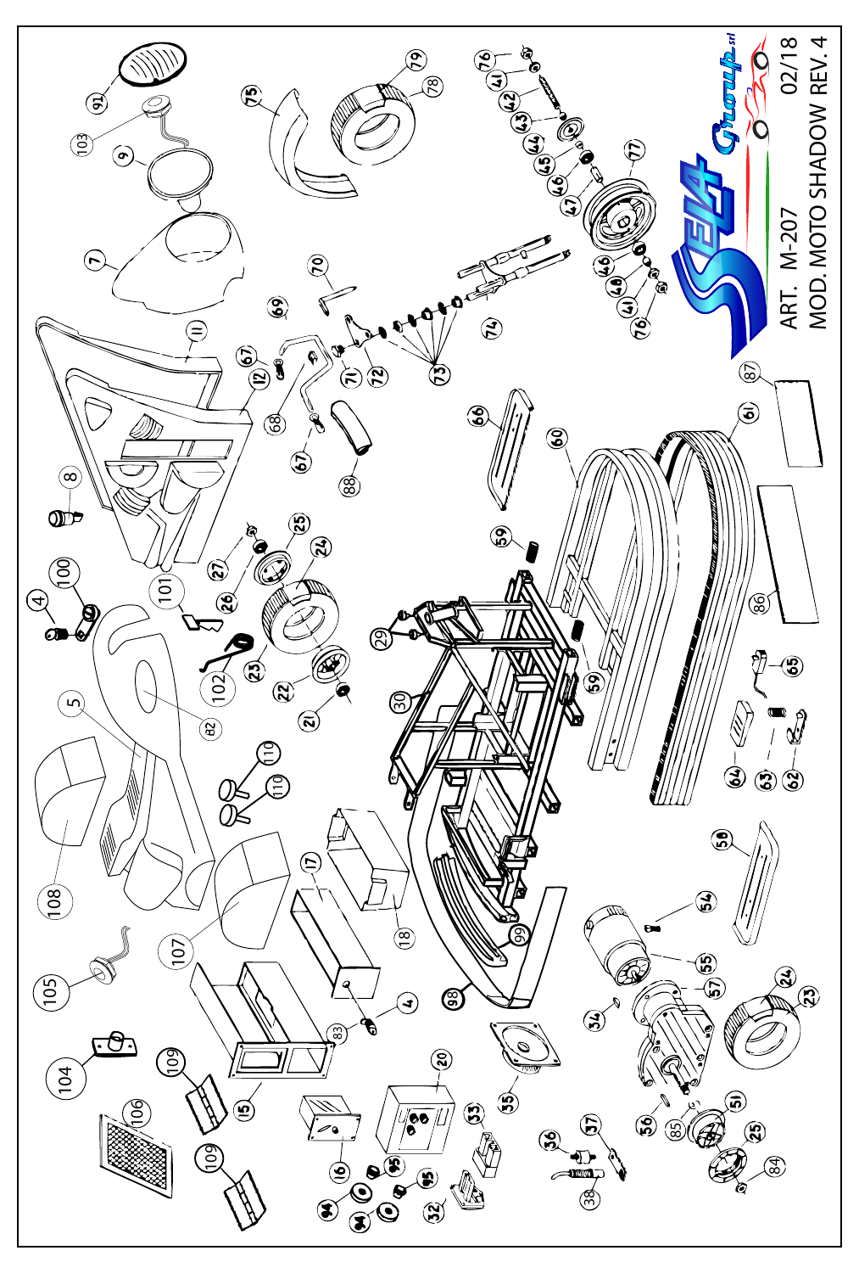